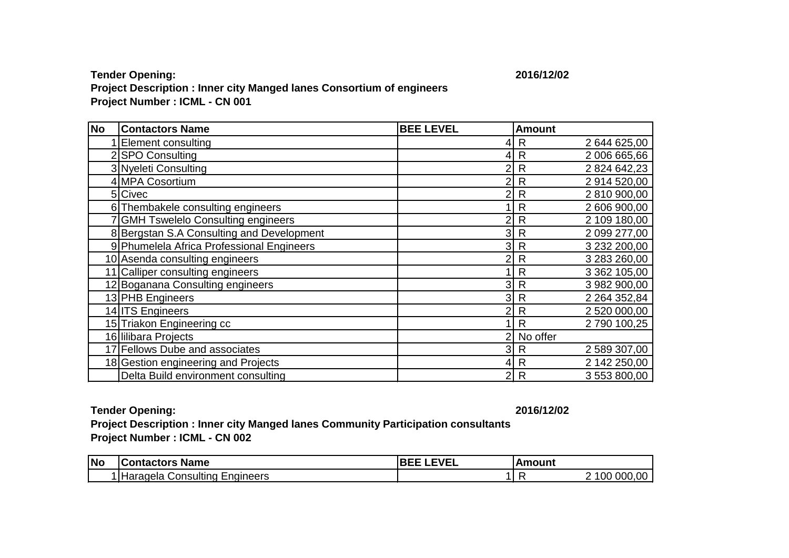## **Tender Opening: 2016/12/02 Project Description : Inner city Manged lanes Consortium of engineers Project Number : ICML - CN 001**

| <b>No</b> | <b>Contactors Name</b>                    | <b>BEE LEVEL</b> | <b>Amount</b>                   |
|-----------|-------------------------------------------|------------------|---------------------------------|
|           | <b>Element consulting</b>                 | 41               | 2 644 625,00<br>R               |
|           | 2 SPO Consulting                          | 4                | 2 006 665,66<br>$\mathsf{R}$    |
|           | 3 Nyeleti Consulting                      | $\overline{c}$   | 2 824 642,23<br>R               |
|           | 4 MPA Cosortium                           | 2                | 2 914 520,00<br>R               |
|           | 5 Civec                                   | $\overline{2}$   | 2 810 900,00<br>$\mathsf{R}$    |
|           | 6 Thembakele consulting engineers         |                  | 2 606 900,00<br>R               |
|           | <b>GMH Tswelelo Consulting engineers</b>  | 2                | 2 109 180,00<br>R               |
|           | 8 Bergstan S.A Consulting and Development | 3                | 2 099 277,00<br>$\mathsf{R}$    |
|           | 9 Phumelela Africa Professional Engineers | 3                | 3 232 200,00<br>$\mathsf{R}$    |
|           | 10 Asenda consulting engineers            | 2                | 3 283 260,00<br>$\mathsf{R}$    |
|           | 11 Calliper consulting engineers          |                  | 3 362 105,00<br>R               |
|           | 12 Boganana Consulting engineers          | 3                | 3 982 900,00<br>$\mathsf{R}$    |
|           | 13 PHB Engineers                          | 3                | 2 2 64 3 52, 84<br>$\mathsf{R}$ |
|           | 14 ITS Engineers                          | 2                | 2 520 000,00<br>R               |
|           | 15 Triakon Engineering cc                 |                  | 2 790 100,25<br>R               |
|           | 16 Iilibara Projects                      | 2                | No offer                        |
|           | 17 Fellows Dube and associates            | 3                | 2 589 307,00<br>R               |
|           | 18 Gestion engineering and Projects       | 41               | 2 142 250,00<br>$\mathsf{R}$    |
|           | Delta Build environment consulting        | $2\vert$         | 3 553 800,00<br>$\mathsf{R}$    |

## **Tender Opening: 2016/12/02**

**Project Description : Inner city Manged lanes Community Participation consultants Project Number : ICML - CN 002**

| <b>Nc</b> | <b>Name</b><br><b>Contactors:</b>            | EVEL<br>__<br>$\sim$<br>v⊢<br>◡<br>——————— | Amount |                               |
|-----------|----------------------------------------------|--------------------------------------------|--------|-------------------------------|
|           | :naineers<br>IHaragela<br>Consulting<br>ر سا |                                            |        | .00<br><b>000</b><br>100<br>- |